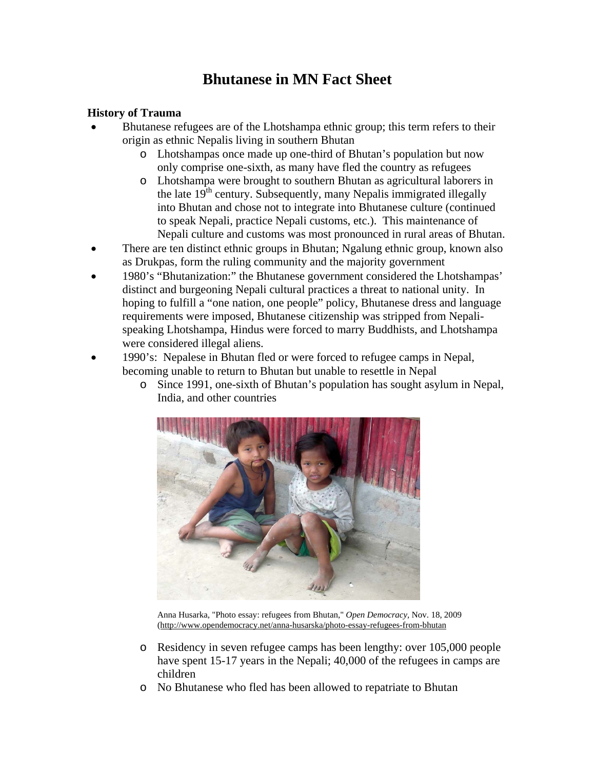# **Bhutanese in MN Fact Sheet**

#### **History of Trauma**

- Bhutanese refugees are of the Lhotshampa ethnic group; this term refers to their origin as ethnic Nepalis living in southern Bhutan
	- o Lhotshampas once made up one-third of Bhutan's population but now only comprise one-sixth, as many have fled the country as refugees
	- o Lhotshampa were brought to southern Bhutan as agricultural laborers in the late  $19<sup>th</sup>$  century. Subsequently, many Nepalis immigrated illegally into Bhutan and chose not to integrate into Bhutanese culture (continued to speak Nepali, practice Nepali customs, etc.). This maintenance of Nepali culture and customs was most pronounced in rural areas of Bhutan.
- There are ten distinct ethnic groups in Bhutan; Ngalung ethnic group, known also as Drukpas*,* form the ruling community and the majority government
- 1980's "Bhutanization:" the Bhutanese government considered the Lhotshampas' distinct and burgeoning Nepali cultural practices a threat to national unity. In hoping to fulfill a "one nation, one people" policy, Bhutanese dress and language requirements were imposed, Bhutanese citizenship was stripped from Nepalispeaking Lhotshampa, Hindus were forced to marry Buddhists, and Lhotshampa were considered illegal aliens.
- 1990's: Nepalese in Bhutan fled or were forced to refugee camps in Nepal, becoming unable to return to Bhutan but unable to resettle in Nepal
	- o Since 1991, one-sixth of Bhutan's population has sought asylum in Nepal, India, and other countries



Anna Husarka, "Photo essay: refugees from Bhutan," *Open Democracy,* Nov. 18, 2009 (<http://www.opendemocracy.net/anna-husarska/photo-essay-refugees-from-bhutan>

- o Residency in seven refugee camps has been lengthy: over 105,000 people have spent 15-17 years in the Nepali; 40,000 of the refugees in camps are children
- o No Bhutanese who fled has been allowed to repatriate to Bhutan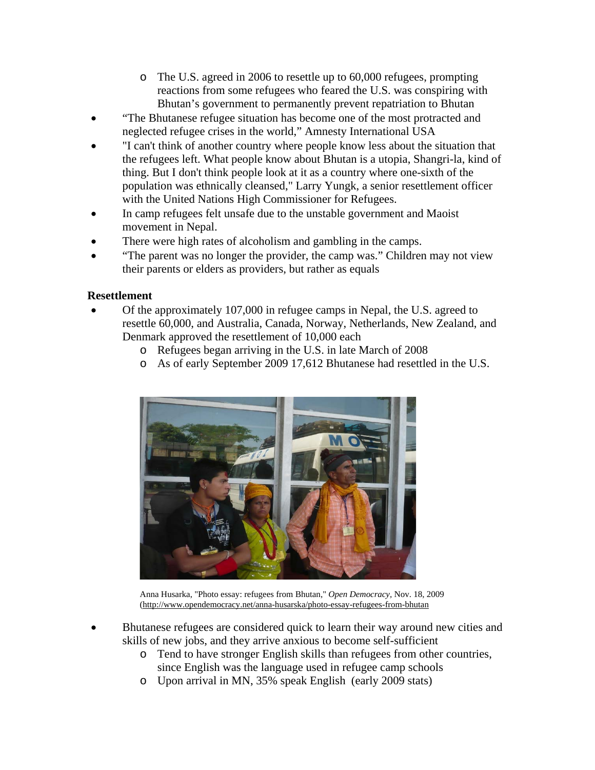- o The U.S. agreed in 2006 to resettle up to 60,000 refugees, prompting reactions from some refugees who feared the U.S. was conspiring with Bhutan's government to permanently prevent repatriation to Bhutan
- "The Bhutanese refugee situation has become one of the most protracted and neglected refugee crises in the world," Amnesty International USA
- "I can't think of another country where people know less about the situation that the refugees left. What people know about Bhutan is a utopia, Shangri-la, kind of thing. But I don't think people look at it as a country where one-sixth of the population was ethnically cleansed," Larry Yungk, a senior resettlement officer with the United Nations High Commissioner for Refugees.
- In camp refugees felt unsafe due to the unstable government and Maoist movement in Nepal.
- There were high rates of alcoholism and gambling in the camps.
- "The parent was no longer the provider, the camp was." Children may not view their parents or elders as providers, but rather as equals

## **Resettlement**

- Of the approximately 107,000 in refugee camps in Nepal, the U.S. agreed to resettle 60,000, and Australia, Canada, Norway, Netherlands, New Zealand, and Denmark approved the resettlement of 10,000 each
	- o Refugees began arriving in the U.S. in late March of 2008
	- o As of early September 2009 17,612 Bhutanese had resettled in the U.S.



Anna Husarka, "Photo essay: refugees from Bhutan," *Open Democracy,* Nov. 18, 2009 (<http://www.opendemocracy.net/anna-husarska/photo-essay-refugees-from-bhutan>

- Bhutanese refugees are considered quick to learn their way around new cities and skills of new jobs, and they arrive anxious to become self-sufficient
	- o Tend to have stronger English skills than refugees from other countries, since English was the language used in refugee camp schools
	- o Upon arrival in MN, 35% speak English (early 2009 stats)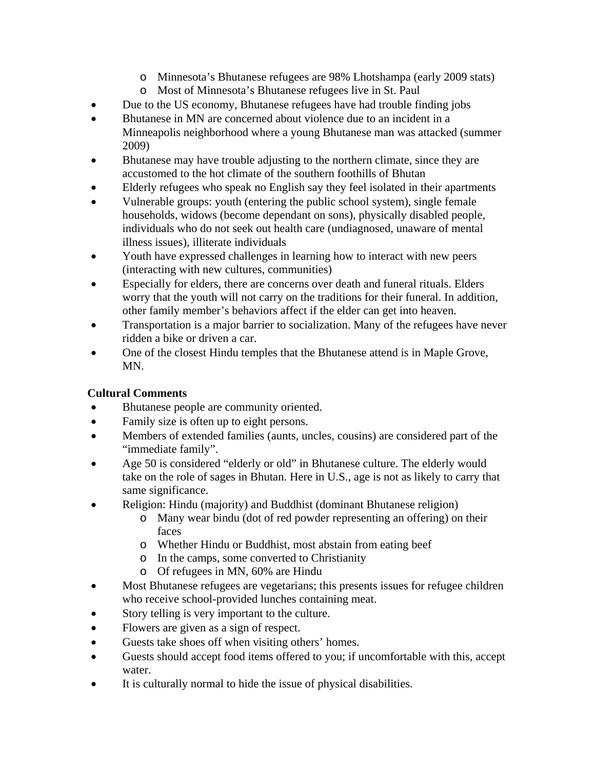- o Minnesota's Bhutanese refugees are 98% Lhotshampa (early 2009 stats)
- o Most of Minnesota's Bhutanese refugees live in St. Paul
- Due to the US economy, Bhutanese refugees have had trouble finding jobs
- Bhutanese in MN are concerned about violence due to an incident in a Minneapolis neighborhood where a young Bhutanese man was attacked (summer 2009)
- Bhutanese may have trouble adjusting to the northern climate, since they are accustomed to the hot climate of the southern foothills of Bhutan
- Elderly refugees who speak no English say they feel isolated in their apartments
- Vulnerable groups: youth (entering the public school system), single female households, widows (become dependant on sons), physically disabled people, individuals who do not seek out health care (undiagnosed, unaware of mental illness issues), illiterate individuals
- Youth have expressed challenges in learning how to interact with new peers (interacting with new cultures, communities)
- Especially for elders, there are concerns over death and funeral rituals. Elders worry that the youth will not carry on the traditions for their funeral. In addition, other family member's behaviors affect if the elder can get into heaven.
- Transportation is a major barrier to socialization. Many of the refugees have never ridden a bike or driven a car.
- One of the closest Hindu temples that the Bhutanese attend is in Maple Grove, MN.

## **Cultural Comments**

- Bhutanese people are community oriented.
- Family size is often up to eight persons.
- Members of extended families (aunts, uncles, cousins) are considered part of the "immediate family".
- Age 50 is considered "elderly or old" in Bhutanese culture. The elderly would take on the role of sages in Bhutan. Here in U.S., age is not as likely to carry that same significance.
- Religion: Hindu (majority) and Buddhist (dominant Bhutanese religion)
	- o Many wear bindu (dot of red powder representing an offering) on their faces
	- o Whether Hindu or Buddhist, most abstain from eating beef
	- o In the camps, some converted to Christianity
	- o Of refugees in MN, 60% are Hindu
- Most Bhutanese refugees are vegetarians; this presents issues for refugee children who receive school-provided lunches containing meat.
- Story telling is very important to the culture.
- Flowers are given as a sign of respect.
- Guests take shoes off when visiting others' homes.
- Guests should accept food items offered to you; if uncomfortable with this, accept water.
- It is culturally normal to hide the issue of physical disabilities.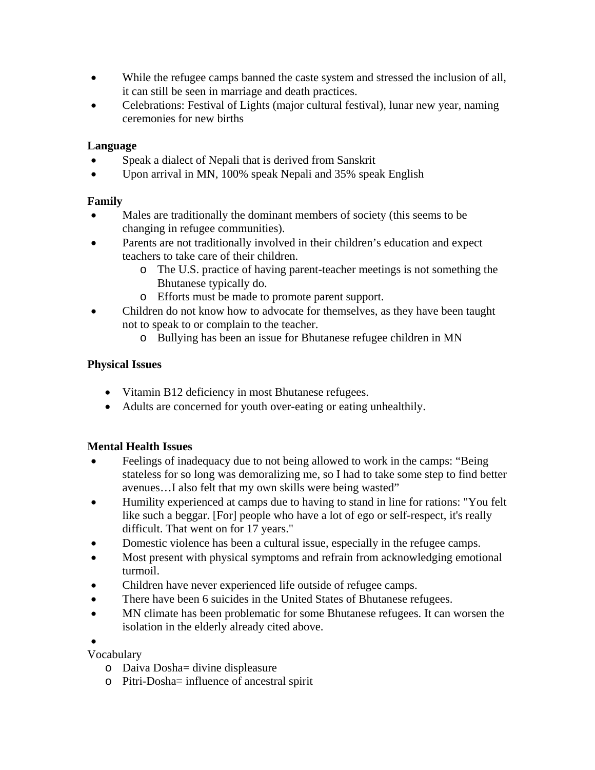- While the refugee camps banned the caste system and stressed the inclusion of all, it can still be seen in marriage and death practices.
- Celebrations: Festival of Lights (major cultural festival), lunar new year, naming ceremonies for new births

### **Language**

- Speak a dialect of Nepali that is derived from Sanskrit
- Upon arrival in MN, 100% speak Nepali and 35% speak English

## **Family**

- Males are traditionally the dominant members of society (this seems to be changing in refugee communities).
- Parents are not traditionally involved in their children's education and expect teachers to take care of their children.
	- o The U.S. practice of having parent-teacher meetings is not something the Bhutanese typically do.
	- o Efforts must be made to promote parent support.
- Children do not know how to advocate for themselves, as they have been taught not to speak to or complain to the teacher.
	- o Bullying has been an issue for Bhutanese refugee children in MN

## **Physical Issues**

- Vitamin B12 deficiency in most Bhutanese refugees.
- Adults are concerned for youth over-eating or eating unhealthily.

## **Mental Health Issues**

- Feelings of inadequacy due to not being allowed to work in the camps: "Being stateless for so long was demoralizing me, so I had to take some step to find better avenues…I also felt that my own skills were being wasted"
- Humility experienced at camps due to having to stand in line for rations: "You felt like such a beggar. [For] people who have a lot of ego or self-respect, it's really difficult. That went on for 17 years."
- Domestic violence has been a cultural issue, especially in the refugee camps.
- Most present with physical symptoms and refrain from acknowledging emotional turmoil.
- Children have never experienced life outside of refugee camps.
- There have been 6 suicides in the United States of Bhutanese refugees.
- MN climate has been problematic for some Bhutanese refugees. It can worsen the isolation in the elderly already cited above.

#### $\bullet$

Vocabulary

- o Daiva Dosha= divine displeasure
- o Pitri-Dosha= influence of ancestral spirit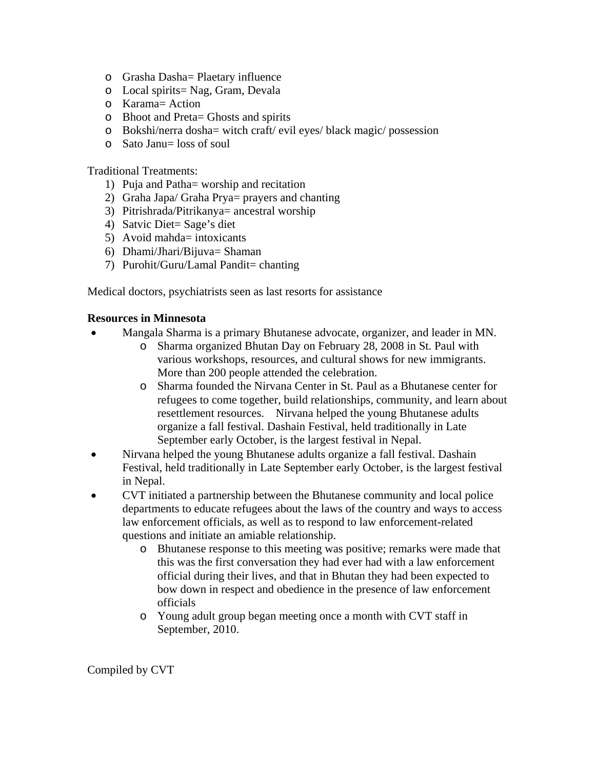- o Grasha Dasha= Plaetary influence
- o Local spirits= Nag, Gram, Devala
- o Karama= Action
- o Bhoot and Preta= Ghosts and spirits
- o Bokshi/nerra dosha= witch craft/ evil eyes/ black magic/ possession
- o Sato Janu= loss of soul

#### Traditional Treatments:

- 1) Puja and Patha= worship and recitation
- 2) Graha Japa/ Graha Prya= prayers and chanting
- 3) Pitrishrada/Pitrikanya= ancestral worship
- 4) Satvic Diet= Sage's diet
- 5) Avoid mahda= intoxicants
- 6) Dhami/Jhari/Bijuva= Shaman
- 7) Purohit/Guru/Lamal Pandit= chanting

Medical doctors, psychiatrists seen as last resorts for assistance

#### **Resources in Minnesota**

- Mangala Sharma is a primary Bhutanese advocate, organizer, and leader in MN.
	- o Sharma organized Bhutan Day on February 28, 2008 in St. Paul with various workshops, resources, and cultural shows for new immigrants. More than 200 people attended the celebration.
	- o Sharma founded the Nirvana Center in St. Paul as a Bhutanese center for refugees to come together, build relationships, community, and learn about resettlement resources. Nirvana helped the young Bhutanese adults organize a fall festival. Dashain Festival, held traditionally in Late September early October, is the largest festival in Nepal.
- Nirvana helped the young Bhutanese adults organize a fall festival. Dashain Festival, held traditionally in Late September early October, is the largest festival in Nepal.
- CVT initiated a partnership between the Bhutanese community and local police departments to educate refugees about the laws of the country and ways to access law enforcement officials, as well as to respond to law enforcement-related questions and initiate an amiable relationship.
	- o Bhutanese response to this meeting was positive; remarks were made that this was the first conversation they had ever had with a law enforcement official during their lives, and that in Bhutan they had been expected to bow down in respect and obedience in the presence of law enforcement officials
	- o Young adult group began meeting once a month with CVT staff in September, 2010.

Compiled by CVT